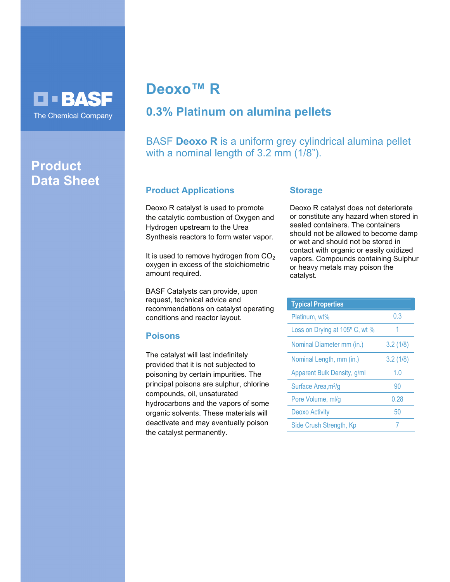# **O - BASF** The Chemical Company

# **Product Data Sheet**

# **Deoxo™ R**

# **0.3% Platinum on alumina pellets**

BASF **Deoxo R** is a uniform grey cylindrical alumina pellet with a nominal length of 3.2 mm (1/8").

## **Product Applications**

Deoxo R catalyst is used to promote the catalytic combustion of Oxygen and Hydrogen upstream to the Urea Synthesis reactors to form water vapor.

It is used to remove hydrogen from  $CO<sub>2</sub>$ oxygen in excess of the stoichiometric amount required.

BASF Catalysts can provide, upon request, technical advice and recommendations on catalyst operating conditions and reactor layout.

## **Poisons**

The catalyst will last indefinitely provided that it is not subjected to poisoning by certain impurities. The principal poisons are sulphur, chlorine compounds, oil, unsaturated hydrocarbons and the vapors of some organic solvents. These materials will deactivate and may eventually poison the catalyst permanently.

#### **Storage**

Deoxo R catalyst does not deteriorate or constitute any hazard when stored in sealed containers. The containers should not be allowed to become damp or wet and should not be stored in contact with organic or easily oxidized vapors. Compounds containing Sulphur or heavy metals may poison the catalyst.

| <b>Typical Properties</b>       |          |
|---------------------------------|----------|
| Platinum, wt%                   | 0.3      |
| Loss on Drying at 105° C, wt %  | 1        |
| Nominal Diameter mm (in.)       | 3.2(1/8) |
| Nominal Length, mm (in.)        | 3.2(1/8) |
| Apparent Bulk Density, g/ml     | 1.0      |
| Surface Area, m <sup>2</sup> /g | 90       |
| Pore Volume, ml/g               | 0.28     |
| Deoxo Activity                  | 50       |
| Side Crush Strength, Kp         |          |